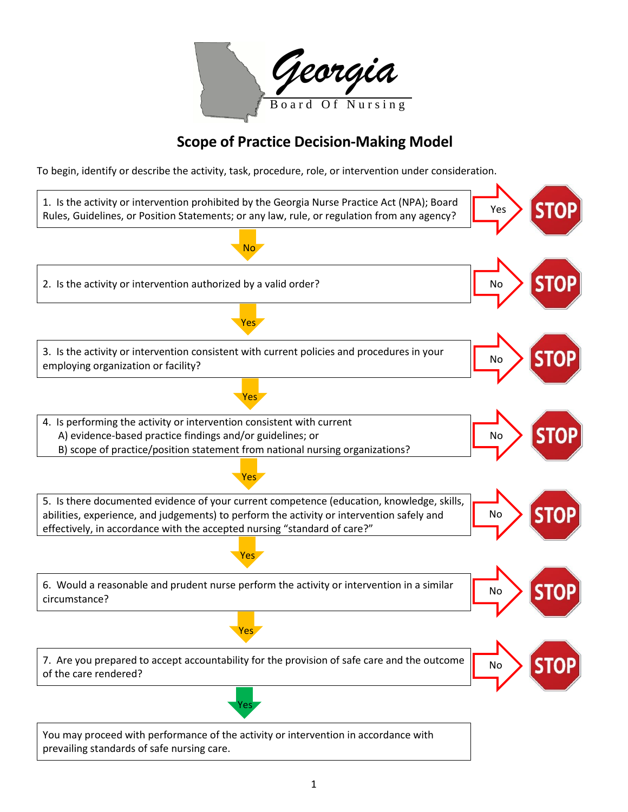| Georgia |                  |  |
|---------|------------------|--|
|         | Board Of Nursing |  |

## **Scope of Practice Decision-Making Model**

To begin, identify or describe the activity, task, procedure, role, or intervention under consideration.

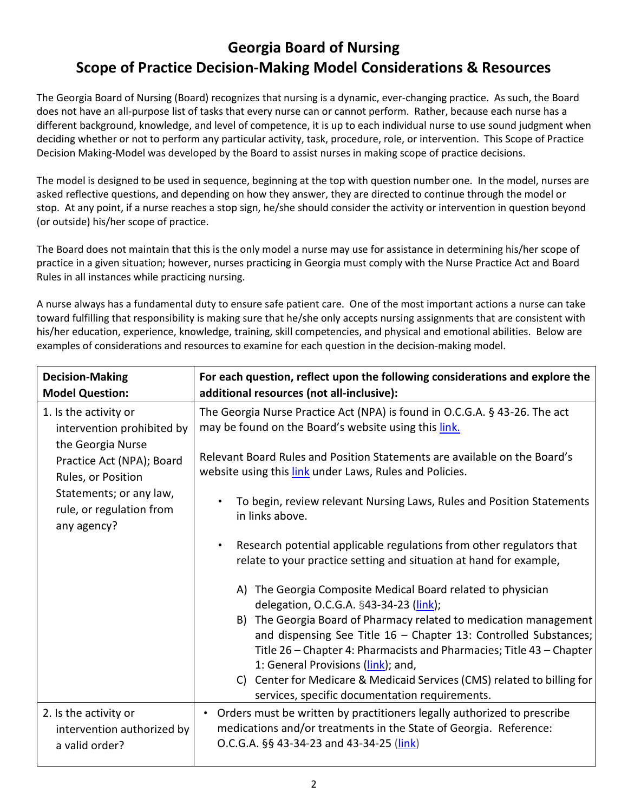## **Georgia Board of Nursing Scope of Practice Decision‐Making Model Considerations & Resources**

The Georgia Board of Nursing (Board) recognizes that nursing is a dynamic, ever‐changing practice. As such, the Board does not have an all‐purpose list of tasks that every nurse can or cannot perform. Rather, because each nurse has a different background, knowledge, and level of competence, it is up to each individual nurse to use sound judgment when deciding whether or not to perform any particular activity, task, procedure, role, or intervention. This Scope of Practice Decision Making-Model was developed by the Board to assist nurses in making scope of practice decisions.

The model is designed to be used in sequence, beginning at the top with question number one. In the model, nurses are asked reflective questions, and depending on how they answer, they are directed to continue through the model or stop. At any point, if a nurse reaches a stop sign, he/she should consider the activity or intervention in question beyond (or outside) his/her scope of practice.

The Board does not maintain that this is the only model a nurse may use for assistance in determining his/her scope of practice in a given situation; however, nurses practicing in Georgia must comply with the Nurse Practice Act and Board Rules in all instances while practicing nursing.

A nurse always has a fundamental duty to ensure safe patient care. One of the most important actions a nurse can take toward fulfilling that responsibility is making sure that he/she only accepts nursing assignments that are consistent with his/her education, experience, knowledge, training, skill competencies, and physical and emotional abilities. Below are examples of considerations and resources to examine for each question in the decision-making model.

| <b>Decision-Making</b><br><b>Model Question:</b>                                                                                                                                                  | For each question, reflect upon the following considerations and explore the<br>additional resources (not all-inclusive):                                                                                                                                                                                                                                                                                                                                                                                                                                                                                                                                                                                                                                                                                                                                                                                                                                                                                                        |
|---------------------------------------------------------------------------------------------------------------------------------------------------------------------------------------------------|----------------------------------------------------------------------------------------------------------------------------------------------------------------------------------------------------------------------------------------------------------------------------------------------------------------------------------------------------------------------------------------------------------------------------------------------------------------------------------------------------------------------------------------------------------------------------------------------------------------------------------------------------------------------------------------------------------------------------------------------------------------------------------------------------------------------------------------------------------------------------------------------------------------------------------------------------------------------------------------------------------------------------------|
| 1. Is the activity or<br>intervention prohibited by<br>the Georgia Nurse<br>Practice Act (NPA); Board<br>Rules, or Position<br>Statements; or any law,<br>rule, or regulation from<br>any agency? | The Georgia Nurse Practice Act (NPA) is found in O.C.G.A. § 43-26. The act<br>may be found on the Board's website using this link.<br>Relevant Board Rules and Position Statements are available on the Board's<br>website using this link under Laws, Rules and Policies.<br>To begin, review relevant Nursing Laws, Rules and Position Statements<br>in links above.<br>Research potential applicable regulations from other regulators that<br>$\bullet$<br>relate to your practice setting and situation at hand for example,<br>A) The Georgia Composite Medical Board related to physician<br>delegation, O.C.G.A. §43-34-23 (link);<br>B) The Georgia Board of Pharmacy related to medication management<br>and dispensing See Title $16$ – Chapter 13: Controlled Substances;<br>Title 26 – Chapter 4: Pharmacists and Pharmacies; Title 43 – Chapter<br>1: General Provisions (link); and,<br>C) Center for Medicare & Medicaid Services (CMS) related to billing for<br>services, specific documentation requirements. |
| 2. Is the activity or<br>intervention authorized by<br>a valid order?                                                                                                                             | Orders must be written by practitioners legally authorized to prescribe<br>$\bullet$<br>medications and/or treatments in the State of Georgia. Reference:<br>O.C.G.A. §§ 43-34-23 and 43-34-25 (link)                                                                                                                                                                                                                                                                                                                                                                                                                                                                                                                                                                                                                                                                                                                                                                                                                            |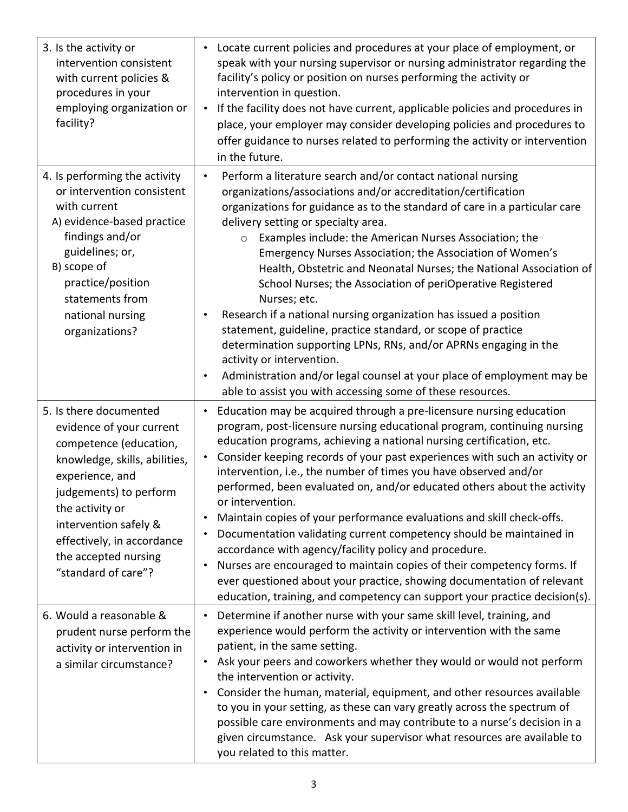| 3. Is the activity or<br>intervention consistent<br>with current policies &<br>procedures in your<br>employing organization or<br>facility?                                                                                                                                         | Locate current policies and procedures at your place of employment, or<br>$\bullet$<br>speak with your nursing supervisor or nursing administrator regarding the<br>facility's policy or position on nurses performing the activity or<br>intervention in question.<br>If the facility does not have current, applicable policies and procedures in<br>$\bullet$<br>place, your employer may consider developing policies and procedures to<br>offer guidance to nurses related to performing the activity or intervention<br>in the future.                                                                                                                                                                                                                                                                                                                                                                                                                                        |
|-------------------------------------------------------------------------------------------------------------------------------------------------------------------------------------------------------------------------------------------------------------------------------------|-------------------------------------------------------------------------------------------------------------------------------------------------------------------------------------------------------------------------------------------------------------------------------------------------------------------------------------------------------------------------------------------------------------------------------------------------------------------------------------------------------------------------------------------------------------------------------------------------------------------------------------------------------------------------------------------------------------------------------------------------------------------------------------------------------------------------------------------------------------------------------------------------------------------------------------------------------------------------------------|
| 4. Is performing the activity<br>or intervention consistent<br>with current<br>A) evidence-based practice<br>findings and/or<br>guidelines; or,<br>B) scope of<br>practice/position<br>statements from<br>national nursing<br>organizations?                                        | Perform a literature search and/or contact national nursing<br>$\bullet$<br>organizations/associations and/or accreditation/certification<br>organizations for guidance as to the standard of care in a particular care<br>delivery setting or specialty area.<br>Examples include: the American Nurses Association; the<br>$\circ$<br>Emergency Nurses Association; the Association of Women's<br>Health, Obstetric and Neonatal Nurses; the National Association of<br>School Nurses; the Association of periOperative Registered<br>Nurses; etc.<br>Research if a national nursing organization has issued a position<br>$\bullet$<br>statement, guideline, practice standard, or scope of practice<br>determination supporting LPNs, RNs, and/or APRNs engaging in the<br>activity or intervention.<br>Administration and/or legal counsel at your place of employment may be<br>$\bullet$<br>able to assist you with accessing some of these resources.                        |
| 5. Is there documented<br>evidence of your current<br>competence (education,<br>knowledge, skills, abilities,<br>experience, and<br>judgements) to perform<br>the activity or<br>intervention safely &<br>effectively, in accordance<br>the accepted nursing<br>"standard of care"? | Education may be acquired through a pre-licensure nursing education<br>$\bullet$<br>program, post-licensure nursing educational program, continuing nursing<br>education programs, achieving a national nursing certification, etc.<br>Consider keeping records of your past experiences with such an activity or<br>$\bullet$<br>intervention, i.e., the number of times you have observed and/or<br>performed, been evaluated on, and/or educated others about the activity<br>or intervention.<br>Maintain copies of your performance evaluations and skill check-offs.<br>$\bullet$<br>Documentation validating current competency should be maintained in<br>$\bullet$<br>accordance with agency/facility policy and procedure.<br>Nurses are encouraged to maintain copies of their competency forms. If<br>$\bullet$<br>ever questioned about your practice, showing documentation of relevant<br>education, training, and competency can support your practice decision(s). |
| 6. Would a reasonable &<br>prudent nurse perform the<br>activity or intervention in<br>a similar circumstance?                                                                                                                                                                      | Determine if another nurse with your same skill level, training, and<br>$\bullet$<br>experience would perform the activity or intervention with the same<br>patient, in the same setting.<br>Ask your peers and coworkers whether they would or would not perform<br>$\bullet$<br>the intervention or activity.<br>Consider the human, material, equipment, and other resources available<br>$\bullet$<br>to you in your setting, as these can vary greatly across the spectrum of<br>possible care environments and may contribute to a nurse's decision in a<br>given circumstance. Ask your supervisor what resources are available to<br>you related to this matter.                                                                                                                                                                                                                                                                                                            |